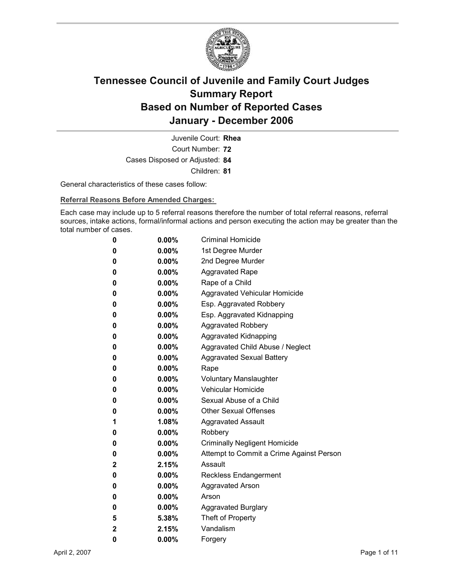

Court Number: **72** Juvenile Court: **Rhea** Cases Disposed or Adjusted: **84** Children: **81**

General characteristics of these cases follow:

**Referral Reasons Before Amended Charges:** 

Each case may include up to 5 referral reasons therefore the number of total referral reasons, referral sources, intake actions, formal/informal actions and person executing the action may be greater than the total number of cases.

| 0 | 0.00%    | <b>Criminal Homicide</b>                 |
|---|----------|------------------------------------------|
| 0 | $0.00\%$ | 1st Degree Murder                        |
| 0 | $0.00\%$ | 2nd Degree Murder                        |
| 0 | $0.00\%$ | <b>Aggravated Rape</b>                   |
| 0 | $0.00\%$ | Rape of a Child                          |
| 0 | $0.00\%$ | Aggravated Vehicular Homicide            |
| 0 | 0.00%    | Esp. Aggravated Robbery                  |
| 0 | $0.00\%$ | Esp. Aggravated Kidnapping               |
| 0 | $0.00\%$ | <b>Aggravated Robbery</b>                |
| 0 | $0.00\%$ | <b>Aggravated Kidnapping</b>             |
| 0 | $0.00\%$ | Aggravated Child Abuse / Neglect         |
| 0 | 0.00%    | <b>Aggravated Sexual Battery</b>         |
| 0 | $0.00\%$ | Rape                                     |
| 0 | $0.00\%$ | <b>Voluntary Manslaughter</b>            |
| 0 | $0.00\%$ | <b>Vehicular Homicide</b>                |
| 0 | $0.00\%$ | Sexual Abuse of a Child                  |
| 0 | $0.00\%$ | <b>Other Sexual Offenses</b>             |
| 1 | 1.08%    | <b>Aggravated Assault</b>                |
| 0 | $0.00\%$ | Robbery                                  |
| 0 | $0.00\%$ | <b>Criminally Negligent Homicide</b>     |
| 0 | 0.00%    | Attempt to Commit a Crime Against Person |
| 2 | 2.15%    | Assault                                  |
| 0 | $0.00\%$ | <b>Reckless Endangerment</b>             |
| 0 | $0.00\%$ | <b>Aggravated Arson</b>                  |
| 0 | $0.00\%$ | Arson                                    |
| 0 | $0.00\%$ | <b>Aggravated Burglary</b>               |
| 5 | 5.38%    | Theft of Property                        |
| 2 | 2.15%    | Vandalism                                |
| 0 | 0.00%    | Forgery                                  |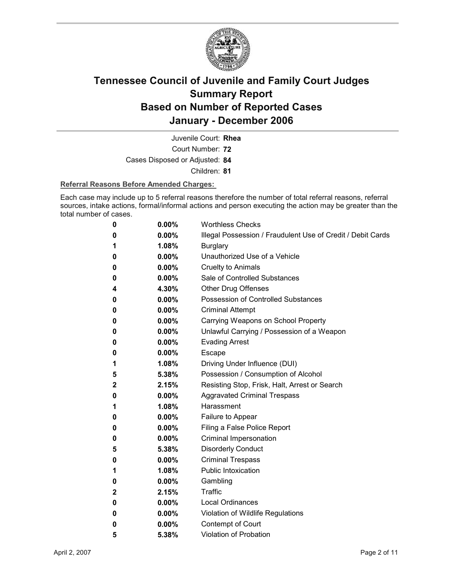

Juvenile Court: **Rhea**

Court Number: **72**

Cases Disposed or Adjusted: **84**

Children: **81**

#### **Referral Reasons Before Amended Charges:**

Each case may include up to 5 referral reasons therefore the number of total referral reasons, referral sources, intake actions, formal/informal actions and person executing the action may be greater than the total number of cases.

| 0 | 0.00%    | <b>Worthless Checks</b>                                     |
|---|----------|-------------------------------------------------------------|
| 0 | $0.00\%$ | Illegal Possession / Fraudulent Use of Credit / Debit Cards |
| 1 | 1.08%    | <b>Burglary</b>                                             |
| 0 | $0.00\%$ | Unauthorized Use of a Vehicle                               |
| 0 | $0.00\%$ | <b>Cruelty to Animals</b>                                   |
| 0 | $0.00\%$ | Sale of Controlled Substances                               |
| 4 | 4.30%    | <b>Other Drug Offenses</b>                                  |
| 0 | $0.00\%$ | Possession of Controlled Substances                         |
| 0 | $0.00\%$ | <b>Criminal Attempt</b>                                     |
| 0 | $0.00\%$ | Carrying Weapons on School Property                         |
| 0 | $0.00\%$ | Unlawful Carrying / Possession of a Weapon                  |
| 0 | $0.00\%$ | <b>Evading Arrest</b>                                       |
| 0 | $0.00\%$ | Escape                                                      |
| 1 | $1.08\%$ | Driving Under Influence (DUI)                               |
| 5 | 5.38%    | Possession / Consumption of Alcohol                         |
| 2 | 2.15%    | Resisting Stop, Frisk, Halt, Arrest or Search               |
| 0 | $0.00\%$ | <b>Aggravated Criminal Trespass</b>                         |
| 1 | 1.08%    | Harassment                                                  |
| 0 | $0.00\%$ | Failure to Appear                                           |
| 0 | $0.00\%$ | Filing a False Police Report                                |
| 0 | $0.00\%$ | Criminal Impersonation                                      |
| 5 | 5.38%    | <b>Disorderly Conduct</b>                                   |
| 0 | $0.00\%$ | <b>Criminal Trespass</b>                                    |
| 1 | $1.08\%$ | <b>Public Intoxication</b>                                  |
| 0 | $0.00\%$ | Gambling                                                    |
| 2 | 2.15%    | <b>Traffic</b>                                              |
| 0 | $0.00\%$ | <b>Local Ordinances</b>                                     |
| 0 | $0.00\%$ | Violation of Wildlife Regulations                           |
| 0 | $0.00\%$ | Contempt of Court                                           |
| 5 | 5.38%    | <b>Violation of Probation</b>                               |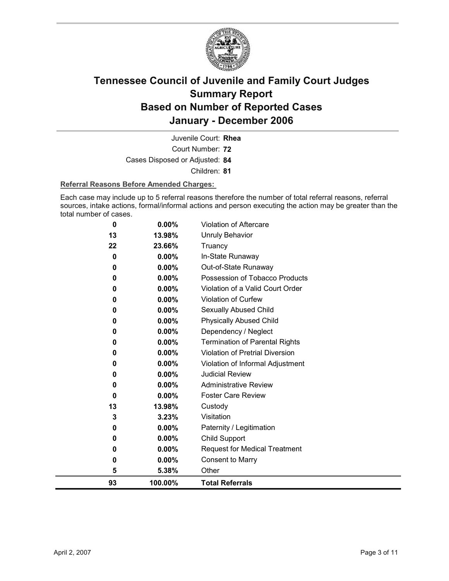

Court Number: **72** Juvenile Court: **Rhea** Cases Disposed or Adjusted: **84** Children: **81**

#### **Referral Reasons Before Amended Charges:**

Each case may include up to 5 referral reasons therefore the number of total referral reasons, referral sources, intake actions, formal/informal actions and person executing the action may be greater than the total number of cases.

| 0  | 0.00%    | Violation of Aftercare                 |
|----|----------|----------------------------------------|
| 13 | 13.98%   | <b>Unruly Behavior</b>                 |
| 22 | 23.66%   | Truancy                                |
| 0  | $0.00\%$ | In-State Runaway                       |
| 0  | $0.00\%$ | Out-of-State Runaway                   |
| 0  | $0.00\%$ | Possession of Tobacco Products         |
| 0  | $0.00\%$ | Violation of a Valid Court Order       |
| 0  | 0.00%    | Violation of Curfew                    |
| 0  | 0.00%    | Sexually Abused Child                  |
| 0  | 0.00%    | <b>Physically Abused Child</b>         |
| 0  | 0.00%    | Dependency / Neglect                   |
| 0  | 0.00%    | <b>Termination of Parental Rights</b>  |
| 0  | 0.00%    | <b>Violation of Pretrial Diversion</b> |
| 0  | 0.00%    | Violation of Informal Adjustment       |
| 0  | 0.00%    | <b>Judicial Review</b>                 |
| 0  | 0.00%    | <b>Administrative Review</b>           |
| 0  | $0.00\%$ | <b>Foster Care Review</b>              |
| 13 | 13.98%   | Custody                                |
| 3  | 3.23%    | Visitation                             |
| 0  | 0.00%    | Paternity / Legitimation               |
| 0  | 0.00%    | <b>Child Support</b>                   |
| 0  | 0.00%    | <b>Request for Medical Treatment</b>   |
| 0  | 0.00%    | <b>Consent to Marry</b>                |
| 5  | 5.38%    | Other                                  |
| 93 | 100.00%  | <b>Total Referrals</b>                 |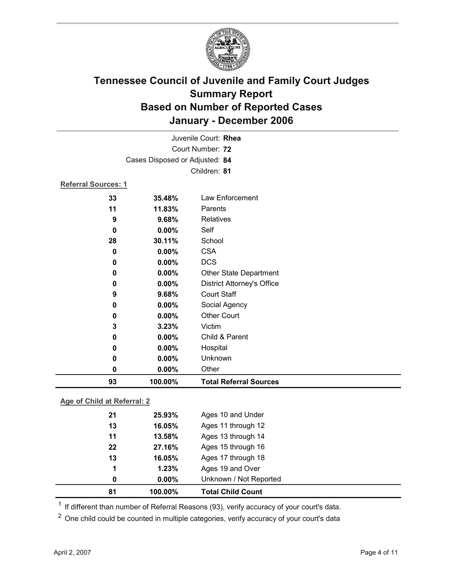

|                     | Juvenile Court: Rhea           |                                   |  |
|---------------------|--------------------------------|-----------------------------------|--|
|                     | Court Number: 72               |                                   |  |
|                     | Cases Disposed or Adjusted: 84 |                                   |  |
|                     |                                | Children: 81                      |  |
| Referral Sources: 1 |                                |                                   |  |
| 33                  | 35.48%                         | Law Enforcement                   |  |
| 11                  | 11.83%                         | Parents                           |  |
| 9                   | 9.68%                          | <b>Relatives</b>                  |  |
| 0                   | $0.00\%$                       | Self                              |  |
| 28                  | 30.11%                         | School                            |  |
| 0                   | 0.00%                          | <b>CSA</b>                        |  |
| 0                   | 0.00%                          | <b>DCS</b>                        |  |
| 0                   | 0.00%                          | Other State Department            |  |
| 0                   | 0.00%                          | <b>District Attorney's Office</b> |  |
| 9                   | 9.68%                          | <b>Court Staff</b>                |  |
| 0                   | 0.00%                          | Social Agency                     |  |
| 0                   | 0.00%                          | <b>Other Court</b>                |  |
| 3                   | 3.23%                          | Victim                            |  |
| 0                   | 0.00%                          | Child & Parent                    |  |
| 0                   | 0.00%                          | Hospital                          |  |
| 0                   | 0.00%                          | Unknown                           |  |
| 0                   | 0.00%                          | Other                             |  |
| 93                  | 100.00%                        | <b>Total Referral Sources</b>     |  |

### **Age of Child at Referral: 2**

| 81 | 100.00%  | <b>Total Child Count</b> |  |
|----|----------|--------------------------|--|
| 0  | $0.00\%$ | Unknown / Not Reported   |  |
| 1  | 1.23%    | Ages 19 and Over         |  |
| 13 | 16.05%   | Ages 17 through 18       |  |
| 22 | 27.16%   | Ages 15 through 16       |  |
| 11 | 13.58%   | Ages 13 through 14       |  |
| 13 | 16.05%   | Ages 11 through 12       |  |
| 21 | 25.93%   | Ages 10 and Under        |  |
|    |          |                          |  |

<sup>1</sup> If different than number of Referral Reasons (93), verify accuracy of your court's data.

<sup>2</sup> One child could be counted in multiple categories, verify accuracy of your court's data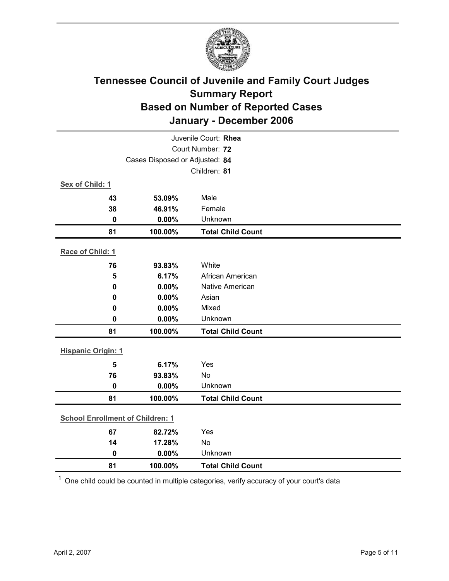

| Juvenile Court: Rhea                    |                                |                          |  |  |  |
|-----------------------------------------|--------------------------------|--------------------------|--|--|--|
| Court Number: 72                        |                                |                          |  |  |  |
|                                         | Cases Disposed or Adjusted: 84 |                          |  |  |  |
|                                         |                                | Children: 81             |  |  |  |
| Sex of Child: 1                         |                                |                          |  |  |  |
| 43                                      | 53.09%                         | Male                     |  |  |  |
| 38                                      | 46.91%                         | Female                   |  |  |  |
| $\mathbf 0$                             | 0.00%                          | Unknown                  |  |  |  |
| 81                                      | 100.00%                        | <b>Total Child Count</b> |  |  |  |
| Race of Child: 1                        |                                |                          |  |  |  |
| 76                                      | 93.83%                         | White                    |  |  |  |
| 5                                       | 6.17%                          | African American         |  |  |  |
| 0                                       | 0.00%                          | <b>Native American</b>   |  |  |  |
| 0                                       | 0.00%                          | Asian                    |  |  |  |
| 0                                       | 0.00%                          | Mixed                    |  |  |  |
| $\mathbf 0$                             | 0.00%                          | Unknown                  |  |  |  |
| 81                                      | 100.00%                        | <b>Total Child Count</b> |  |  |  |
| <b>Hispanic Origin: 1</b>               |                                |                          |  |  |  |
| 5                                       | 6.17%                          | Yes                      |  |  |  |
| 76                                      | 93.83%                         | No                       |  |  |  |
| $\mathbf 0$                             | 0.00%                          | Unknown                  |  |  |  |
| 81                                      | 100.00%                        | <b>Total Child Count</b> |  |  |  |
| <b>School Enrollment of Children: 1</b> |                                |                          |  |  |  |
| 67                                      | 82.72%                         | Yes                      |  |  |  |
| 14                                      | 17.28%                         | No                       |  |  |  |
| $\mathbf 0$                             | 0.00%                          | Unknown                  |  |  |  |
| 81                                      | 100.00%                        | <b>Total Child Count</b> |  |  |  |

 $1$  One child could be counted in multiple categories, verify accuracy of your court's data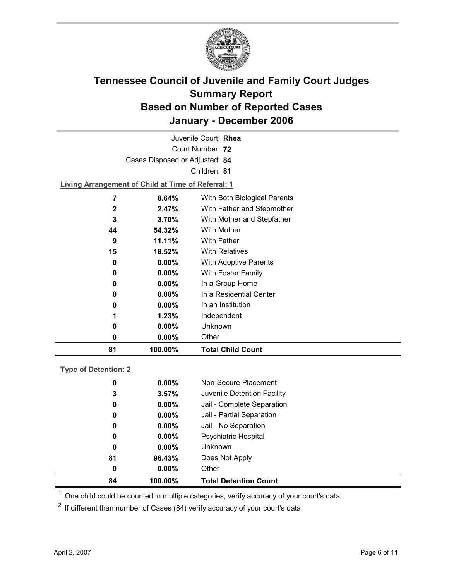

| Juvenile Court: Rhea                          |                                                    |                            |  |  |  |  |
|-----------------------------------------------|----------------------------------------------------|----------------------------|--|--|--|--|
| Court Number: 72                              |                                                    |                            |  |  |  |  |
| Cases Disposed or Adjusted: 84                |                                                    |                            |  |  |  |  |
| Children: 81                                  |                                                    |                            |  |  |  |  |
|                                               | Living Arrangement of Child at Time of Referral: 1 |                            |  |  |  |  |
| 7                                             | With Both Biological Parents<br>8.64%              |                            |  |  |  |  |
| $\mathbf{2}$                                  | 2.47%                                              | With Father and Stepmother |  |  |  |  |
| 3<br>With Mother and Stepfather<br>$3.70\%$   |                                                    |                            |  |  |  |  |
| With Mother<br>44<br>54.32%                   |                                                    |                            |  |  |  |  |
| <b>With Father</b><br>9<br>11.11%             |                                                    |                            |  |  |  |  |
| 15                                            | <b>With Relatives</b><br>18.52%                    |                            |  |  |  |  |
| $0.00\%$<br><b>With Adoptive Parents</b><br>0 |                                                    |                            |  |  |  |  |
| 0                                             | With Foster Family<br>$0.00\%$                     |                            |  |  |  |  |
| In a Group Home<br>$0.00\%$<br>0              |                                                    |                            |  |  |  |  |
| In a Residential Center<br>$0.00\%$<br>0      |                                                    |                            |  |  |  |  |
| 0                                             | $0.00\%$                                           | In an Institution          |  |  |  |  |
| 1                                             | Independent<br>1.23%                               |                            |  |  |  |  |

**0 0.00%** Other **81 100.00% Total Child Count**

**0 0.00%** Unknown

### **Type of Detention: 2**

| 84 | 100.00%  | <b>Total Detention Count</b> |
|----|----------|------------------------------|
| 0  | $0.00\%$ | Other                        |
| 81 | 96.43%   | Does Not Apply               |
| 0  | $0.00\%$ | <b>Unknown</b>               |
| 0  | $0.00\%$ | <b>Psychiatric Hospital</b>  |
| 0  | $0.00\%$ | Jail - No Separation         |
| 0  | $0.00\%$ | Jail - Partial Separation    |
| 0  | $0.00\%$ | Jail - Complete Separation   |
| 3  | 3.57%    | Juvenile Detention Facility  |
| 0  | $0.00\%$ | Non-Secure Placement         |
|    |          |                              |

 $<sup>1</sup>$  One child could be counted in multiple categories, verify accuracy of your court's data</sup>

 $2$  If different than number of Cases (84) verify accuracy of your court's data.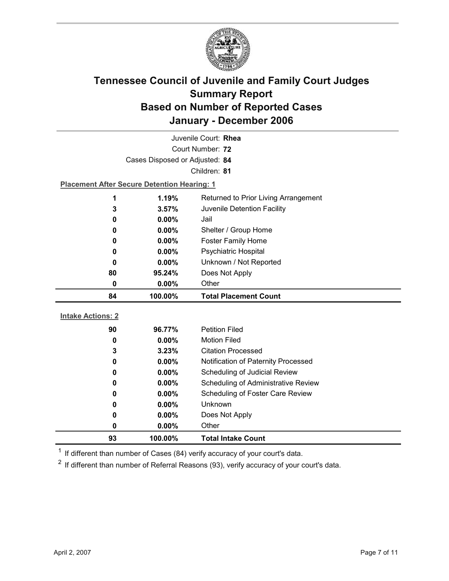

| Juvenile Court: Rhea     |                                                    |                                     |  |  |
|--------------------------|----------------------------------------------------|-------------------------------------|--|--|
| Court Number: 72         |                                                    |                                     |  |  |
|                          | Cases Disposed or Adjusted: 84                     |                                     |  |  |
|                          |                                                    | Children: 81                        |  |  |
|                          | <b>Placement After Secure Detention Hearing: 1</b> |                                     |  |  |
| 1                        | 1.19%<br>Returned to Prior Living Arrangement      |                                     |  |  |
| 3                        | 3.57%<br>Juvenile Detention Facility               |                                     |  |  |
| 0                        | $0.00\%$                                           | Jail                                |  |  |
| 0                        | 0.00%<br>Shelter / Group Home                      |                                     |  |  |
| 0                        | $0.00\%$                                           | <b>Foster Family Home</b>           |  |  |
| 0                        | <b>Psychiatric Hospital</b><br>0.00%               |                                     |  |  |
| 0                        | Unknown / Not Reported<br>0.00%                    |                                     |  |  |
| 80                       | 95.24%<br>Does Not Apply                           |                                     |  |  |
| 0                        | Other<br>0.00%                                     |                                     |  |  |
|                          |                                                    |                                     |  |  |
| 84                       | 100.00%                                            | <b>Total Placement Count</b>        |  |  |
|                          |                                                    |                                     |  |  |
| <b>Intake Actions: 2</b> |                                                    |                                     |  |  |
| 90                       | 96.77%                                             | <b>Petition Filed</b>               |  |  |
| 0                        | $0.00\%$                                           | <b>Motion Filed</b>                 |  |  |
| 3                        | 3.23%                                              | <b>Citation Processed</b>           |  |  |
| 0                        | $0.00\%$                                           | Notification of Paternity Processed |  |  |
| 0                        | 0.00%                                              | Scheduling of Judicial Review       |  |  |
| 0                        | $0.00\%$                                           | Scheduling of Administrative Review |  |  |
| 0                        | 0.00%                                              | Scheduling of Foster Care Review    |  |  |
| 0                        | 0.00%                                              | Unknown                             |  |  |
| 0<br>0                   | 0.00%<br>0.00%                                     | Does Not Apply<br>Other             |  |  |

 $1$  If different than number of Cases (84) verify accuracy of your court's data.

 $2$  If different than number of Referral Reasons (93), verify accuracy of your court's data.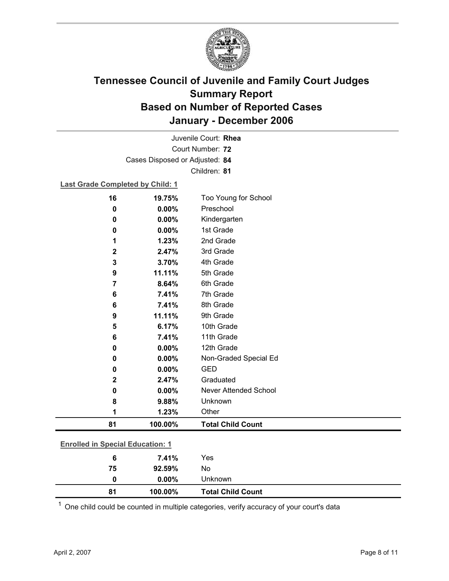

Court Number: **72** Juvenile Court: **Rhea** Cases Disposed or Adjusted: **84** Children: **81**

### **Last Grade Completed by Child: 1**

| 16                                      | 19.75%   | Too Young for School         |  |
|-----------------------------------------|----------|------------------------------|--|
| 0                                       | 0.00%    | Preschool                    |  |
| 0                                       | $0.00\%$ | Kindergarten                 |  |
| 0                                       | 0.00%    | 1st Grade                    |  |
| 1                                       | 1.23%    | 2nd Grade                    |  |
| $\mathbf 2$                             | 2.47%    | 3rd Grade                    |  |
| 3                                       | 3.70%    | 4th Grade                    |  |
| 9                                       | 11.11%   | 5th Grade                    |  |
| 7                                       | 8.64%    | 6th Grade                    |  |
| 6                                       | 7.41%    | 7th Grade                    |  |
| 6                                       | 7.41%    | 8th Grade                    |  |
| 9                                       | 11.11%   | 9th Grade                    |  |
| 5                                       | 6.17%    | 10th Grade                   |  |
| 6                                       | 7.41%    | 11th Grade                   |  |
| 0                                       | 0.00%    | 12th Grade                   |  |
| 0                                       | 0.00%    | Non-Graded Special Ed        |  |
| 0                                       | 0.00%    | <b>GED</b>                   |  |
| 2                                       | 2.47%    | Graduated                    |  |
| 0                                       | 0.00%    | <b>Never Attended School</b> |  |
| 8                                       | 9.88%    | Unknown                      |  |
| 1                                       | 1.23%    | Other                        |  |
| 81                                      | 100.00%  | <b>Total Child Count</b>     |  |
| <b>Enrolled in Special Education: 1</b> |          |                              |  |
| $6\phantom{1}6$                         | 7.41%    | Yes                          |  |
| 75                                      | 92.59%   | No                           |  |
|                                         |          |                              |  |

 $1$  One child could be counted in multiple categories, verify accuracy of your court's data

**0 0.00%** Unknown

**81 100.00% Total Child Count**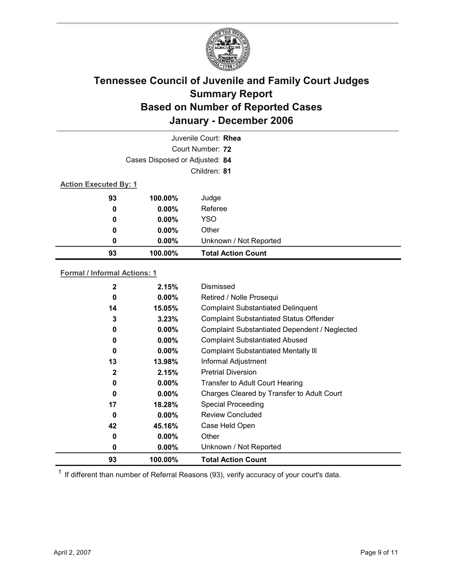

| Juvenile Court: Rhea         |                                |                           |  |  |
|------------------------------|--------------------------------|---------------------------|--|--|
|                              | Court Number: 72               |                           |  |  |
|                              | Cases Disposed or Adjusted: 84 |                           |  |  |
|                              | Children: 81                   |                           |  |  |
| <b>Action Executed By: 1</b> |                                |                           |  |  |
| 93                           | 100.00%                        | Judge                     |  |  |
| $\boldsymbol{0}$             | $0.00\%$                       | Referee                   |  |  |
| 0                            | $0.00\%$                       | <b>YSO</b>                |  |  |
| 0                            | $0.00\%$                       | Other                     |  |  |
| 0                            | $0.00\%$                       | Unknown / Not Reported    |  |  |
| 93                           | 100.00%                        | <b>Total Action Count</b> |  |  |

#### **Formal / Informal Actions: 1**

| 2            | 2.15%    | Dismissed                                      |
|--------------|----------|------------------------------------------------|
| 0            | $0.00\%$ | Retired / Nolle Prosequi                       |
| 14           | 15.05%   | <b>Complaint Substantiated Delinquent</b>      |
| 3            | 3.23%    | <b>Complaint Substantiated Status Offender</b> |
| 0            | $0.00\%$ | Complaint Substantiated Dependent / Neglected  |
| 0            | $0.00\%$ | <b>Complaint Substantiated Abused</b>          |
| 0            | $0.00\%$ | <b>Complaint Substantiated Mentally III</b>    |
| 13           | 13.98%   | Informal Adjustment                            |
| $\mathbf{2}$ | 2.15%    | <b>Pretrial Diversion</b>                      |
| 0            | $0.00\%$ | <b>Transfer to Adult Court Hearing</b>         |
| 0            | $0.00\%$ | Charges Cleared by Transfer to Adult Court     |
| 17           | 18.28%   | <b>Special Proceeding</b>                      |
| 0            | $0.00\%$ | <b>Review Concluded</b>                        |
| 42           | 45.16%   | Case Held Open                                 |
| 0            | $0.00\%$ | Other                                          |
| 0            | $0.00\%$ | Unknown / Not Reported                         |
| 93           | 100.00%  | <b>Total Action Count</b>                      |

 $1$  If different than number of Referral Reasons (93), verify accuracy of your court's data.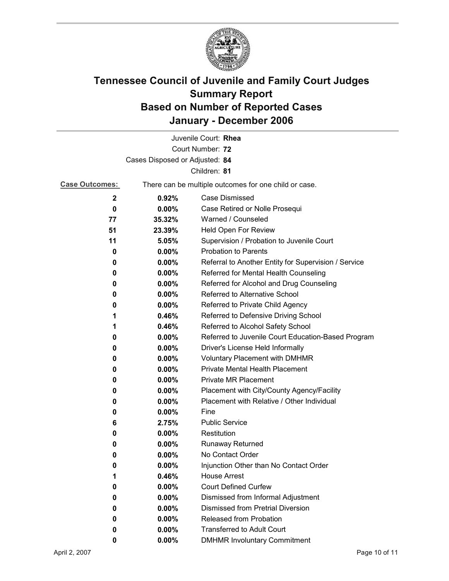

| Juvenile Court: Rhea           |          |                                                       |  |  |
|--------------------------------|----------|-------------------------------------------------------|--|--|
| Court Number: 72               |          |                                                       |  |  |
| Cases Disposed or Adjusted: 84 |          |                                                       |  |  |
|                                |          | Children: 81                                          |  |  |
| <b>Case Outcomes:</b>          |          | There can be multiple outcomes for one child or case. |  |  |
| $\mathbf 2$                    | 0.92%    | <b>Case Dismissed</b>                                 |  |  |
| 0                              | 0.00%    | Case Retired or Nolle Prosequi                        |  |  |
| 77                             | 35.32%   | Warned / Counseled                                    |  |  |
| 51                             | 23.39%   | Held Open For Review                                  |  |  |
| 11                             | 5.05%    | Supervision / Probation to Juvenile Court             |  |  |
| 0                              | $0.00\%$ | <b>Probation to Parents</b>                           |  |  |
| 0                              | $0.00\%$ | Referral to Another Entity for Supervision / Service  |  |  |
| 0                              | $0.00\%$ | Referred for Mental Health Counseling                 |  |  |
| 0                              | $0.00\%$ | Referred for Alcohol and Drug Counseling              |  |  |
| 0                              | 0.00%    | Referred to Alternative School                        |  |  |
| 0                              | $0.00\%$ | Referred to Private Child Agency                      |  |  |
| 1                              | 0.46%    | Referred to Defensive Driving School                  |  |  |
| 1                              | 0.46%    | Referred to Alcohol Safety School                     |  |  |
| 0                              | 0.00%    | Referred to Juvenile Court Education-Based Program    |  |  |
| 0                              | $0.00\%$ | Driver's License Held Informally                      |  |  |
| 0                              | 0.00%    | <b>Voluntary Placement with DMHMR</b>                 |  |  |
| 0                              | 0.00%    | <b>Private Mental Health Placement</b>                |  |  |
| 0                              | 0.00%    | <b>Private MR Placement</b>                           |  |  |
| 0                              | 0.00%    | Placement with City/County Agency/Facility            |  |  |
| 0                              | 0.00%    | Placement with Relative / Other Individual            |  |  |
| 0                              | $0.00\%$ | Fine                                                  |  |  |
| 6                              | 2.75%    | <b>Public Service</b>                                 |  |  |
| 0                              | $0.00\%$ | Restitution                                           |  |  |
| 0                              | 0.00%    | <b>Runaway Returned</b>                               |  |  |
| 0                              | 0.00%    | No Contact Order                                      |  |  |
| 0                              | 0.00%    | Injunction Other than No Contact Order                |  |  |
| 1                              | 0.46%    | <b>House Arrest</b>                                   |  |  |
| 0                              | 0.00%    | <b>Court Defined Curfew</b>                           |  |  |
| 0                              | $0.00\%$ | Dismissed from Informal Adjustment                    |  |  |
| 0                              | $0.00\%$ | <b>Dismissed from Pretrial Diversion</b>              |  |  |
| 0                              | 0.00%    | Released from Probation                               |  |  |
| 0                              | 0.00%    | <b>Transferred to Adult Court</b>                     |  |  |
| 0                              | 0.00%    | <b>DMHMR Involuntary Commitment</b>                   |  |  |